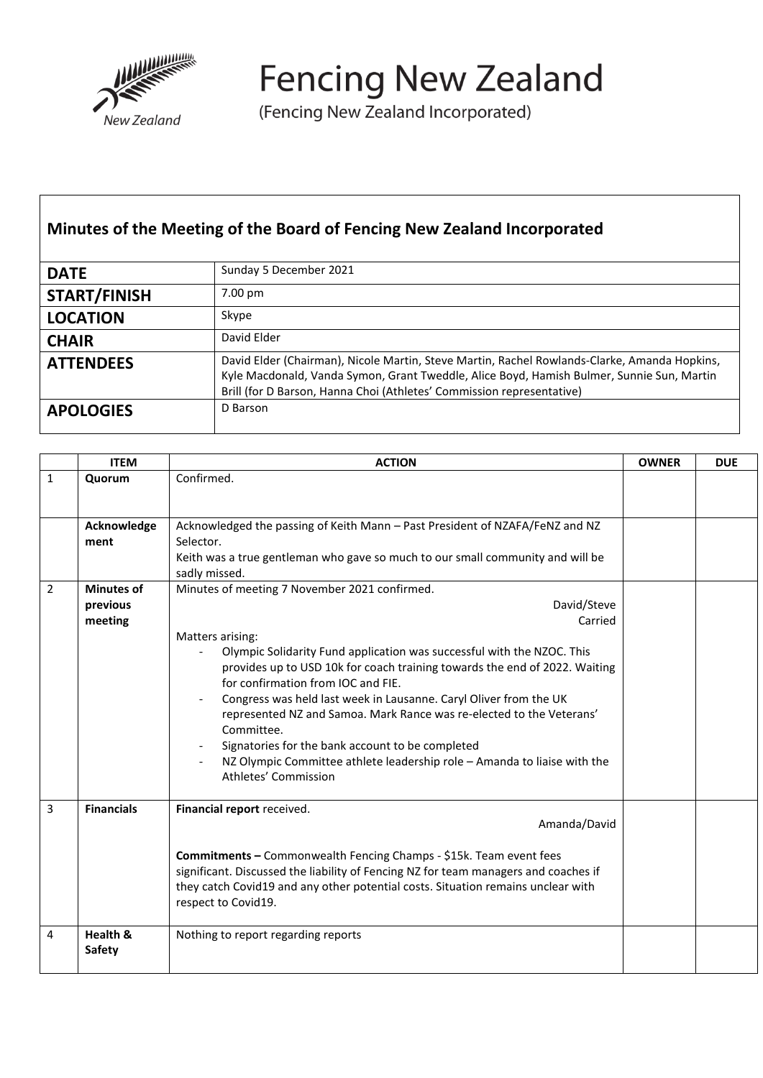

**Fencing New Zealand** 

(Fencing New Zealand Incorporated)

## **Minutes of the Meeting of the Board of Fencing New Zealand Incorporated**

| <b>DATE</b>         | Sunday 5 December 2021                                                                                                                                                                                                                                             |
|---------------------|--------------------------------------------------------------------------------------------------------------------------------------------------------------------------------------------------------------------------------------------------------------------|
| <b>START/FINISH</b> | 7.00 pm                                                                                                                                                                                                                                                            |
| <b>LOCATION</b>     | Skype                                                                                                                                                                                                                                                              |
| <b>CHAIR</b>        | David Elder                                                                                                                                                                                                                                                        |
| <b>ATTENDEES</b>    | David Elder (Chairman), Nicole Martin, Steve Martin, Rachel Rowlands-Clarke, Amanda Hopkins,<br>Kyle Macdonald, Vanda Symon, Grant Tweddle, Alice Boyd, Hamish Bulmer, Sunnie Sun, Martin<br>Brill (for D Barson, Hanna Choi (Athletes' Commission representative) |
| <b>APOLOGIES</b>    | D Barson                                                                                                                                                                                                                                                           |

|                | <b>ITEM</b>                              | <b>ACTION</b>                                                                                                                                                                                                                                                                                                                                                                                                                                                                                                                                                                                                | <b>OWNER</b> | <b>DUE</b> |
|----------------|------------------------------------------|--------------------------------------------------------------------------------------------------------------------------------------------------------------------------------------------------------------------------------------------------------------------------------------------------------------------------------------------------------------------------------------------------------------------------------------------------------------------------------------------------------------------------------------------------------------------------------------------------------------|--------------|------------|
| $\mathbf{1}$   | Quorum                                   | Confirmed.                                                                                                                                                                                                                                                                                                                                                                                                                                                                                                                                                                                                   |              |            |
|                | Acknowledge<br>ment                      | Acknowledged the passing of Keith Mann - Past President of NZAFA/FeNZ and NZ<br>Selector.<br>Keith was a true gentleman who gave so much to our small community and will be<br>sadly missed.                                                                                                                                                                                                                                                                                                                                                                                                                 |              |            |
| $\overline{2}$ | <b>Minutes of</b><br>previous<br>meeting | Minutes of meeting 7 November 2021 confirmed.<br>David/Steve<br>Carried<br>Matters arising:<br>Olympic Solidarity Fund application was successful with the NZOC. This<br>provides up to USD 10k for coach training towards the end of 2022. Waiting<br>for confirmation from IOC and FIE.<br>Congress was held last week in Lausanne. Caryl Oliver from the UK<br>represented NZ and Samoa. Mark Rance was re-elected to the Veterans'<br>Committee.<br>Signatories for the bank account to be completed<br>NZ Olympic Committee athlete leadership role - Amanda to liaise with the<br>Athletes' Commission |              |            |
| 3              | <b>Financials</b>                        | Financial report received.<br>Amanda/David<br>Commitments - Commonwealth Fencing Champs - \$15k. Team event fees<br>significant. Discussed the liability of Fencing NZ for team managers and coaches if<br>they catch Covid19 and any other potential costs. Situation remains unclear with<br>respect to Covid19.                                                                                                                                                                                                                                                                                           |              |            |
| 4              | Health &<br><b>Safety</b>                | Nothing to report regarding reports                                                                                                                                                                                                                                                                                                                                                                                                                                                                                                                                                                          |              |            |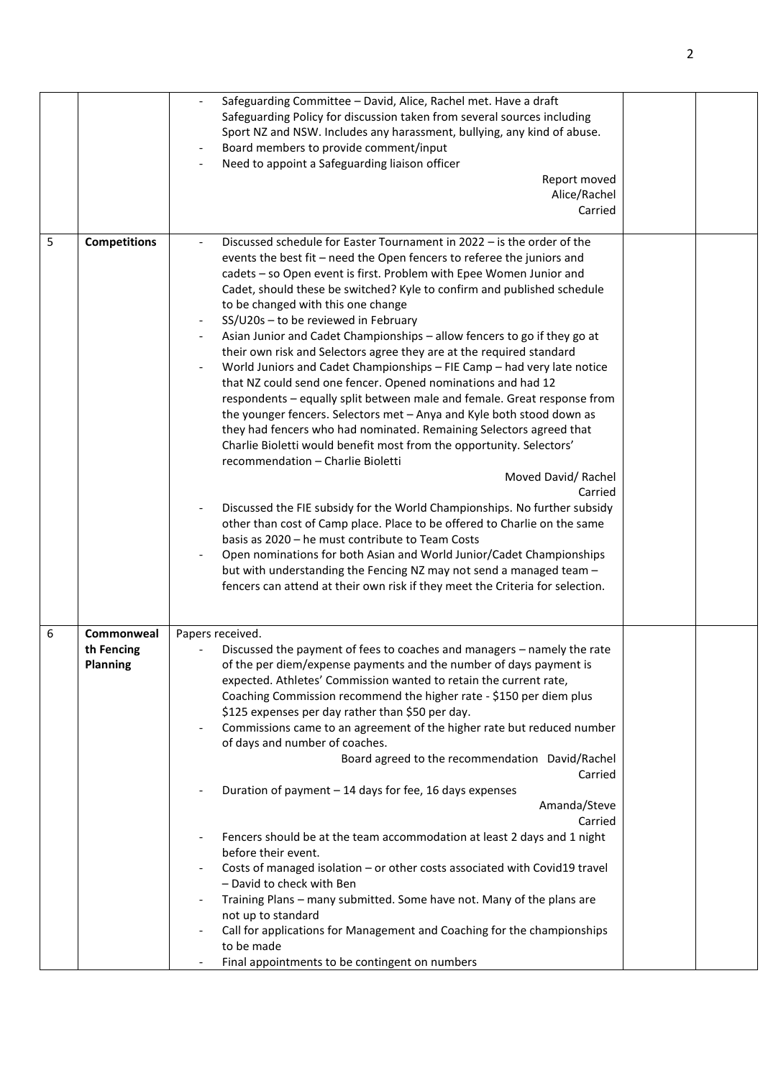|   |                                             | Safeguarding Committee - David, Alice, Rachel met. Have a draft<br>Safeguarding Policy for discussion taken from several sources including<br>Sport NZ and NSW. Includes any harassment, bullying, any kind of abuse.<br>Board members to provide comment/input<br>Need to appoint a Safeguarding liaison officer<br>Report moved<br>Alice/Rachel<br>Carried                                                                                                                                                                                                                                                                                                                                                                                                                                                                                                                                                                                                                                                                                                                                                                                                                                                                                                                                                                                                                                                                                                                                                                        |  |
|---|---------------------------------------------|-------------------------------------------------------------------------------------------------------------------------------------------------------------------------------------------------------------------------------------------------------------------------------------------------------------------------------------------------------------------------------------------------------------------------------------------------------------------------------------------------------------------------------------------------------------------------------------------------------------------------------------------------------------------------------------------------------------------------------------------------------------------------------------------------------------------------------------------------------------------------------------------------------------------------------------------------------------------------------------------------------------------------------------------------------------------------------------------------------------------------------------------------------------------------------------------------------------------------------------------------------------------------------------------------------------------------------------------------------------------------------------------------------------------------------------------------------------------------------------------------------------------------------------|--|
| 5 | <b>Competitions</b>                         | Discussed schedule for Easter Tournament in 2022 – is the order of the<br>events the best fit - need the Open fencers to referee the juniors and<br>cadets - so Open event is first. Problem with Epee Women Junior and<br>Cadet, should these be switched? Kyle to confirm and published schedule<br>to be changed with this one change<br>SS/U20s - to be reviewed in February<br>Asian Junior and Cadet Championships - allow fencers to go if they go at<br>$\overline{\phantom{a}}$<br>their own risk and Selectors agree they are at the required standard<br>World Juniors and Cadet Championships - FIE Camp - had very late notice<br>that NZ could send one fencer. Opened nominations and had 12<br>respondents - equally split between male and female. Great response from<br>the younger fencers. Selectors met - Anya and Kyle both stood down as<br>they had fencers who had nominated. Remaining Selectors agreed that<br>Charlie Bioletti would benefit most from the opportunity. Selectors'<br>recommendation - Charlie Bioletti<br>Moved David/Rachel<br>Carried<br>Discussed the FIE subsidy for the World Championships. No further subsidy<br>other than cost of Camp place. Place to be offered to Charlie on the same<br>basis as 2020 - he must contribute to Team Costs<br>Open nominations for both Asian and World Junior/Cadet Championships<br>but with understanding the Fencing NZ may not send a managed team -<br>fencers can attend at their own risk if they meet the Criteria for selection. |  |
| 6 | Commonweal<br>th Fencing<br><b>Planning</b> | Papers received.<br>Discussed the payment of fees to coaches and managers - namely the rate<br>of the per diem/expense payments and the number of days payment is<br>expected. Athletes' Commission wanted to retain the current rate,<br>Coaching Commission recommend the higher rate - \$150 per diem plus<br>\$125 expenses per day rather than \$50 per day.<br>Commissions came to an agreement of the higher rate but reduced number<br>of days and number of coaches.<br>Board agreed to the recommendation David/Rachel<br>Carried<br>Duration of payment - 14 days for fee, 16 days expenses<br>Amanda/Steve<br>Carried<br>Fencers should be at the team accommodation at least 2 days and 1 night<br>before their event.<br>Costs of managed isolation - or other costs associated with Covid19 travel<br>- David to check with Ben<br>Training Plans - many submitted. Some have not. Many of the plans are<br>not up to standard<br>Call for applications for Management and Coaching for the championships<br>to be made<br>Final appointments to be contingent on numbers                                                                                                                                                                                                                                                                                                                                                                                                                                            |  |